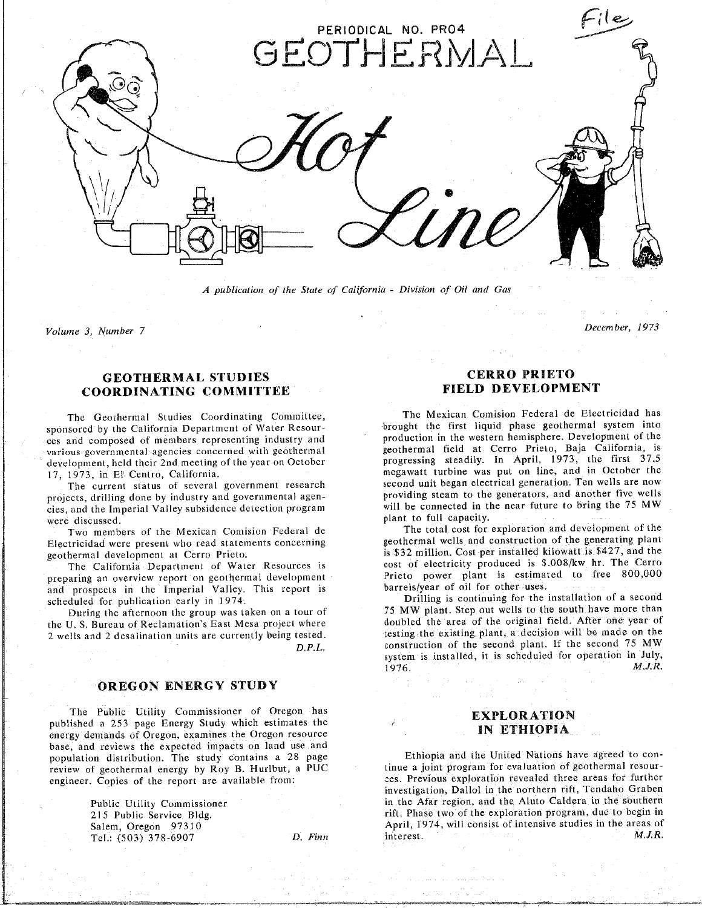

A publication of the State of California - Division of Oil and Gas

Volume 3, Number 7 December, 1973

**GEOTHERMAL STUDIES CER**R**O PRIETO COORDINATING COMM**I**TTEE FIELD DEVELOPMENT**

ces and composed of members representing industry and production in the western hemisphere. Development of the various governmental agencies concerned with geothermal and geothermal field at Cerro Prieto, Baja California, is development, held their 2nd meeting of the year on October progressing steadily. In April, 1973, the first 37.5

projects, drilling done by industry and governmental agen-<br>
providing steam to the generators, and another five wells projects, drilling done by industry and governmental agencies. And the Imperial Valley subsident program with program with program program with the near future to bring the 75 MW will be connected in the 75 MW will be connected in the 75 MW will be 25 MW will be 75 MW will be 75

Electricidad were present who read statements concerning geothermal wells and construction of the generating plant

preparing an overview report on geothermal development Prieto power plant is estimated to free 800,000 preface the imperial valley. This report is barrels/year of oil for other uses.<br>
scheduled for publication early in 1974.<br> **Drilling is continuing for the installation of a second** scheduled for publication early in 1974.

the U.S. Bureau of Reclamation's East Mesa project where doubled the area of the original field. After one year of the U. S. Bureau of T. Bureau of T. Bureau of T. Bureau of the U. S. Bureau of the testing the existing plant, a decision will be made on the

### **OREGO**N **E**N**E**R**GY ST***U***D**Y

The Public Utility Commissioner of Oregon has<br>
published a 253 page Energy Study which estimates the<br> **EXPLORATION**<br> **EXPLORATION** energy demands of Oregon, examines the Oregon resource base, and reviews the expected impacts on land use and<br>population distribution. The study contains a 28 page **18 Ethiopia** and the United Nations have agreed to conpopulation distribution. The study contains a 28 page review of geothermal energy by Roy B. Hurlbut, a PUC tinue a joint program for evaluation of geothermal resourengineer. Copies of the report are available from: ces. Previous exploration revealed three areas for further

# **CERRO PRIETO**

December, 1973

The Geothermal Studies Coordinating Committee,<br>sponsored by the California Department of Water Resour-<br>brought the first liquid phase geothermal system into 17, 1973, in El Centro, California. (2015) The megawatt turbine was put on line, and in October the The current status of several government research second unit began electrical generation. Ten wells are now

Two members of the Mexican Comision Federal de The total cost for exploration and development of the Electrician development at Cerro Prieto. **Concerning and containers** is \$32 million. Cost per installed kilowatt is \$427, and the The California Department of Water Resources is cost of electricity produced is \$.008/kw hr. The Cerro

Euring the afternoon the group was taken on a tour of **1974** The installation of the south have more than  $D.P.L.$  construction of the second plant. If the second 75 MW **D. E.** construction of the second position is set that is seen the second for operation in July stem is installed for operation in  $M J R$ 1976, *M*.*J*.*R*.

investigation, Dallol in the northern rift, Tendaho Graben in the Afar region, and the Aluto Caldera in the southern Public Utility Commissioner in the Afar region, and the Aluto Caldera in the southern<br>215 Public Service Bldg. 215 Public Service Bldg. Salem, Oregon 97310 April, 1974, will consist of intensive studies in the areas of Tel.:  $(503)$  378-6907  $D.$  Finn interest.  $M.J.R.$ Tel.: (503) 378-6907 *D*. *Finn* interest. *M*.*J*.*R*.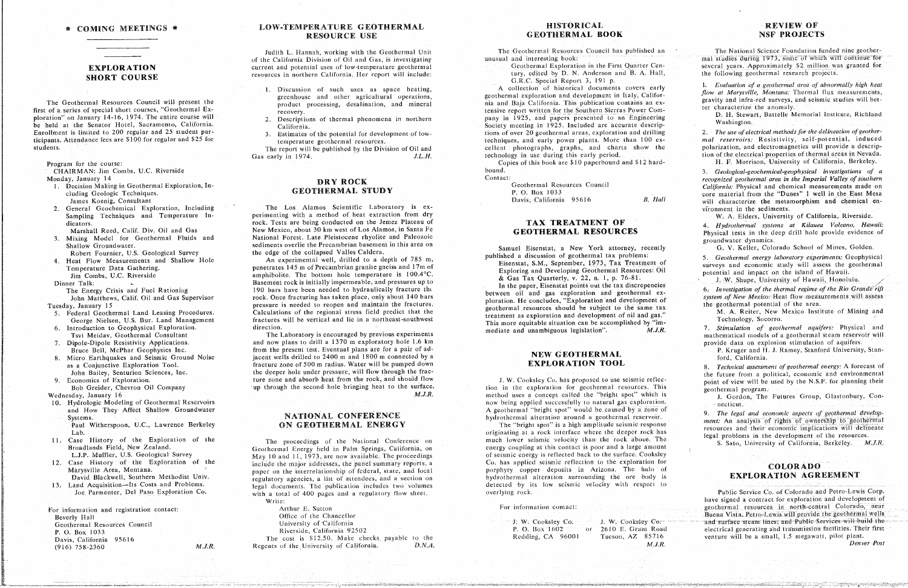### **EXPLORATION SHORT COURSE**

The Geothermal Resources Council will present the first of a series of special short courses, "Geothermal Exploration" on January 14-16, 1974. The entire course will be held at the Senator Hotel, Sacramento, California. Enrollment is limited to 200 regular and 25 student participants. Attendance fees are \$100 for regular and \$25 for students.

Program for the course:

#### CHAIRMAN: Jim Combs, U.C. Riverside Monday, January 14

- 1. Decision Making in Geothermal Exploration, Including Geologic Techniques. James Koenig, Consultant
- 2. General Geochemical Exploration, Including Sampling Techniques and Temperature Indicators.
- Marshall Reed, Calif. Div. Oil and Gas
- 3. Mixing Model for Geothermal Fluids and Shallow Groundwater.

Robert Fournier, U.S. Geological Survey

4. Heat Flow Measurements and Shallow Hole Temperature Data Gathering.

Jim Combs, U.C. Riverside

Dinner Talk:

- The Energy Crisis and Fuel Rationing
- John Matthews, Calif. Oil and Gas Supervisor Tuesday, January 15
- 5. Federal Geothermal Land Leasing Procedures. George Nielsen, U.S. Bur. Land Management
- 6. Introduction to Geophysical Exploration. Tsvi Meidav, Geothermal Consultant
- 7. Dipole-Dipole Resistivity Applications. Bruce Bell, McPhar Geophysics Inc.
- Micro Earthquakes and Seismic Ground Noise 8. as a Conjunctive Exploration Tool. John Bailey, Senturion Sciences, Inc.
- 9. Economics of Exploration. Bob Greider, Chevron Oil Company

Wednesday, January 16

- 10. Hydrologic Modeling of Geothermal Reservoirs and How They Affect Shallow Groundwater Systems.
- Paul Witherspoon, U.C., Lawrence Berkeley Lab.
- 11. Case History of the Exploration of the Broadlands Field, New Zealand. L.J.P. Muffler, U.S. Geological Survey
- 12. Case History of the Exploration of the Marysville Area, Montana. David Blackwell, Southern Methodist Univ.
- 13. Land Acquisition-Its Costs and Problems. Joe Parmenter. Del Paso Exploration Co.

 $M.J.R.$ 

For information and registration contact: Beverly Hall Geothermal Resources Council P. O. Box 1033 Davis, California 95616  $(916) 758 - 2360$ 

#### LOW-TEMPERATURE GEOTHERMAL RESOURCE USE

Judith L. Hannah, working with the Geothermal Unit of the California Division of Oil and Gas, is investigating current and potential uses of low-temperature geothermal resources in northern California. Her report will include:

- 1. Discussion of such uses as space heating, greenhouse and other agricultural operations, product processing, desalination, and mineral recovery.
- 2. Descriptions of thermal phenomena in northern California.
- 3. Estimates of the potential for development of lowtemperature geothermal resources.

The report will be published by the Division of Oil and Gas early in 1974.  $J.L.H.$ 

### DRY ROCK **GEOTHERMAL STUDY**

The Los Alamos Scientific Laboratory is experimenting with a method of heat extraction from dry rock. Tests are being conducted on the Jemez Plateau of New Mexico, about 30 km west of Los Alamos, in Santa Fe National Forest. Late Pleistocene rhyolite and Paleozoic sediments overlie the Precambrian basement in this area on the edge of the collapsed Valles Caldera.

An experimental well, drilled to a depth of 785 m, penetrates 145 m of Precambrian granite gneiss and 17m of amphibolite. The bottom hole temperature is  $100.4$ °C. Basement rock is initially impermeable, and pressures up to 190 bars have been needed to hydraulically fracture the rock. Once fracturing has taken place, only about 140 bars pressure is needed to reopen and maintain the fractures. Calculations of the regional stress field predict that the fractures will be vertical and lie in a northeast-southwest direction.

The Laboratory is encouraged by previous experiments and now plans to drill a 1370 m exploratory hole 1.6 km from the present test. Eventual plans are for a pair of adjacent wells drilled to 2400 m and 1800 m connected by a fracture zone of 500 m radius. Water will be pumped down the deeper hole under pressure, will flow through the fracture zone and absorb heat from the rock, and should flow up through the second hole bringing heat to the surface.  $M.J.R.$ 

 $D.N.A.$ 

#### NATIONAL CONFERENCE ON GEOTHERMAL ENERGY

The proceedings of the National Conference on Geothermal Energy held in Palm Springs, California, on May 10 and 11, 1973, are now available. The proceedings include the major addresses, the panel summary reports, a paper on the interrelationship of federal, state, and local regulatory agencies, a list of attendees, and a section on legal documents. The publication includes two volumes with a total of 400 pages and a regulatory flow sheet.

Write: Arthur E. Sutton-Office of the Chancellor University of California Riverside, California 92502 The cost is \$12.50. Make checks payable to the Regents of the University of California.

#### **HISTORICAL GEOTHERMAL BOOK**

The Geothermal Resources Council has published an unusual and interesting book:

Geothermal Exploration in the First Quarter Century, edited by D. N. Anderson and B. A. Hall, G.R.C. Special Report 3, 191 p.

A collection of historical documents covers early geothermal exploration and development in Italy, California and Baja California. This publication contains an extensive report written for the Southern Sicrras Power Company in 1925, and papers presented to an Engineering Society meeting in 1925. Included are accurate descriptions of over 20 geothermal areas, exploration and drilling techniques, and early power plants. More than 100 excellent photographs, graphs, and charts show the technology in use during this early period.

Copies of this book are \$10 paperbound and \$12 hardbound.

> Geothermal Resources Council P. O. Box 1033 Davis, California 95616

Contact:

**B.** Hall

#### TAX TREATMENT OF **GEOTHERMAL RESOURCES**

Samuel Eisenstat, a New York attorney, recently published a discussion of geothermal tax problems:

Eisenstat, S.M., September, 1973, Tax Treatment of Exploring and Developing Geothermal Resources: Oil & Gas Tax Quarterly, v. 22, n. 1, p. 76-81.

In the paper, Eisenstat points out the tax discrepencies between oil and gas exploration and geothermal exploration. He concludes, "Exploration and development of geothermal resources should be subject to the same tax treatment as exploration and development of oil and gas." This more equitable situation can be accomplished by "im- $M.J.R.$ mediate and unambiguous legislation".

#### NEW GEOTHERMAL **EXPLORATION TOOL**

J. W. Cooksley Co. has proposed to use seismic reflection in the exploration for geothermal resources. This method uses a concept called the "bright spot" which is now being applied successfully to natural gas exploration. A geothermal "bright spot" would be caused by a zone of hydrothermal alteration around a geothermal reservoir.

The "bright spot" is a high amplitude seismic response originating at a rock interface where the deeper rock has much lower seismic velocity than the rock above. The energy coupling at this contact is poor and a large amount of seismic energy is reflected back to the surface. Cookstey-Co. has applied seismic reflection to the exploration for porphyry copper deposits in Arizona. The halo of hydrothermal alteration surrounding the ore body is detected by its low seismic velocity with respect to overlying rock.

For information contact:

J. W. Cooksley Co. P. O. Box 1602 Redding, CA 96001

J. W. Cooksley Co. or 2610 E. Grant Road Tucson, AZ 85716  $M.J.R.$ 

#### **REVIEW OF NSF PROJECTS**

The National Science Foundation funded nine geothermal studies during 1973, some of which will continue for several years. Approximately \$2 million was granted for the following geothermal research projects.

1. Evaluation of a geothermal area of abnormally high heat flow at Marysville, Montana: Thermal flux measurements, gravity and infra-red surveys, and seismic studies will better characterize the anomaly.

D. H. Stewart, Battelle Memorial Institute, Richland Washington.

2. The use of electrical methods for the delineation of geothermal reservoirs. Resistivity, self-potential, induced polarization, and electromagnetics will provide a description of the electrical properties of thermal areas in Nevada.

H. F. Morrison, University of California, Berkeley.

3. Geological-geochemical-geophysical investigations of a recognized geothermal area in the Imperial Valley of southern California: Physical and chemical measurements made on core material from the "Dunes" I well in the East Mesa will characterize the metamorphism and chemical environment in the sediments.

W. A. Elders, University of California, Riverside.

4. Hydrothermal systems at Kilauea Volcano, Hawaii: Physical tests in the deep drill hole provide evidence of groundwater dynamics.

G. V. Keller, Colorado School of Mines, Golden.

5. Geothermal energy laboratory experiments: Geophysical surveys and economic study will assess the geothermal potential and impact on the island of Hawaii.

J. W. Shupe, University of Hawaii, Honolulu.

6. Investigation of the thermal regime of the Rio Grande rift system of New Mexico: Heat flow measurements will assess the geothermal potential of the area.

M. A. Reiter, New Mexico Institute of Mining and Technology, Socorro.

7. Stimulation of geothermal aquifers: Physical and mathematical models of a geothermal steam reservoir will provide data on explosion stimulation of aquifers.

P. Kruger and H. J. Ramey, Stanford University, Stanford, California.

8. Technical assessment of geothermal energy: A forecast of the future from a political, economic and environmental point of view will be used by the N.S.F. for planning their geothermal program.

J. Gordon, The Futures Group, Glastonbury, Connecticut.

9. The legal and economic aspects of geothermal development. An analysis of rights of ownership to geothermal resources and their economic implications will delineate legal problems in the development of the resources.

S. Sato, University of California, Berkeley. M.J.R.

#### **COLORADO EXPLORATION AGREEMENT**

Public Service Co. of Colorado and Petro-Lewis Corp. have signed a contract for exploration and development of geothermal resources in north-central Colorado, near Buena Vista. Petro-Lewis will provide the geothermal wells and surface steam lines; and Public Services will build the electrical generating and transmission facilities. Their first venture will be a small, 1.5 megawatt, pilot plant.

Denver Post